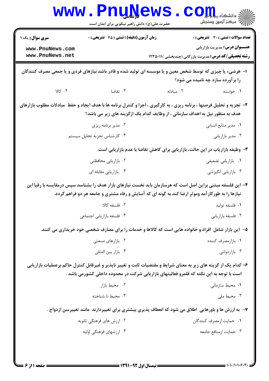|                                                                                                                                                                                                                  | <u>i ų jyc w p</u><br>حضرت علی(ع): دانش راهبر نیکویی برای ایمان است                                  |           | ز دانشگاه پ <b>یا ب<sup>ا</sup> تور</b><br>رِ آمرڪز آزمون وسنڊش                                                                                   |  |
|------------------------------------------------------------------------------------------------------------------------------------------------------------------------------------------------------------------|------------------------------------------------------------------------------------------------------|-----------|---------------------------------------------------------------------------------------------------------------------------------------------------|--|
| <b>سری سوال :</b> یک ۱<br>www.PnuNews.com<br>www.PnuNews.net                                                                                                                                                     | <b>زمان آزمون (دقیقه) : تستی : 45 تشریحی : 0</b>                                                     |           | تعداد سوالات : تستي : 30 ٪ تشريحي : 0<br><b>عنـــوان درس:</b> مدیریت بازاریابی<br><b>رشته تحصیلی/کد درس: م</b> دیریت بازرگانی (چندبخشی )۱۲۳۵۰۱۱ ( |  |
| ا– هرشیء یا چیزی که توسط شخص معین و یا موسسه ای تولید شده و قادر باشد نیازهای فردی و یا جمعی مصرف کنندگان<br>را بر آورده سازد چه نامیده می شود؟                                                                  |                                                                                                      |           |                                                                                                                                                   |  |
| ۰۴ کالا                                                                                                                                                                                                          | ۰۳ تقاضا                                                                                             | ۰۲ مبادله | ۰۱ خواسته                                                                                                                                         |  |
| ۲- تجزیه و تحلیل فرصتها ، برنامه ریزی ، به کارگیری ، اجرا و کنترل برنامه ها با هدف ایجاد و حفظ ًمبادلات مطلوب بازارهای<br>هدف به منظور نیل به اهداف سازمانی ، از وظایف کدام یک ازگزینه های زیر می باشد؟          |                                                                                                      |           |                                                                                                                                                   |  |
|                                                                                                                                                                                                                  | ۰۲ مدير برنامه ريزي                                                                                  |           | ٠١ مدير منابع انساني                                                                                                                              |  |
|                                                                                                                                                                                                                  | ۰۴ کارشناس تجزیه تحلیل سیستم                                                                         |           | ۰۳ مدير بازاريابي                                                                                                                                 |  |
| ۳- وظیفه بازاریاب در این حالت، بازاریابی برای کاهش تقاضا یا عدم بازاریابی است.                                                                                                                                   |                                                                                                      |           |                                                                                                                                                   |  |
|                                                                                                                                                                                                                  | ۰۲ بازاریابی محافظتی                                                                                 |           | ٠١ بازاريابي تضعيفي                                                                                                                               |  |
|                                                                                                                                                                                                                  | ۰۴ بازاریابی مقابله ای                                                                               |           | ۰۳ بازاریابی انگیزشی                                                                                                                              |  |
| ۴– این فلسفه مبتنی براین اصل است که هرسازمان باید نخست نیازهای بازار هدف را بشناسد سپس درمقایسه با رقبا این<br>نیازها را به طورکار آمد وموثر ارضا کند به گونه ای که آسایش و رفاه مشتری و جامعه هر دو فراهم گردد. |                                                                                                      |           |                                                                                                                                                   |  |
|                                                                                                                                                                                                                  | ٠٢ فلسفه كالا                                                                                        |           | ٠١. فلسفه توليد                                                                                                                                   |  |
|                                                                                                                                                                                                                  | ۰۴ فلسفه بازاريابي اجتماعي                                                                           |           | ۰۳ فلسفه بازاريابي                                                                                                                                |  |
|                                                                                                                                                                                                                  | ۵– آین بازار شامل آفراد و خانواده هایی است که کالاها و خدمات را برای مصارف شخصی خود خریداری می کنند. |           |                                                                                                                                                   |  |
|                                                                                                                                                                                                                  | ۰۲ بازارهای صنعتی                                                                                    |           | ۰۱ بازارمصرف کننده                                                                                                                                |  |
|                                                                                                                                                                                                                  | ۰۴ بازار بين المللي                                                                                  |           | ۰۳ بازاردولتی                                                                                                                                     |  |
| ۶– کدام یک از گزینه های زیر به معنای شرایط و مقتضیات ثابت و تغییر ناپذیر و غیرقابل کنترل حاکم برعملیات بازاریابی<br>است با توجه به این نکته که قلمرو فعالیتهای بازاریابی شرکت در محدوده داخلی کشورمی باشد .      |                                                                                                      |           |                                                                                                                                                   |  |
|                                                                                                                                                                                                                  | ۰۲ محیط بازار                                                                                        |           | ۰۱ محیط سازمانی                                                                                                                                   |  |
|                                                                                                                                                                                                                  | ۰۴ محیط نا شناخته                                                                                    |           | ۰۳ محیط ملی                                                                                                                                       |  |
| ۷–  به ارزش ها و باورهایی  اطلاق می شود که انعطاف پذیری بیشتری برای تغییردارند  مانند تغییرسن ازدواج .                                                                                                           |                                                                                                      |           |                                                                                                                                                   |  |
|                                                                                                                                                                                                                  | ۲. ارزش های فرهنگی ثانویه                                                                            |           | ٠١. حمايت ازمصرف كنندگان                                                                                                                          |  |
|                                                                                                                                                                                                                  | ۰۴ ارزشهای فرهنگی اولیه                                                                              |           | ٠٣ حمايت ازمنافع جامعه                                                                                                                            |  |
|                                                                                                                                                                                                                  |                                                                                                      |           |                                                                                                                                                   |  |

 $1 - 1 - 11 - 1$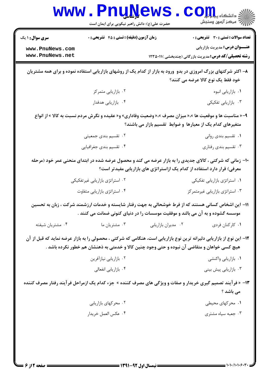|                                    | <b>WWW.PNUNEWS</b><br>حضرت علی(ع): دانش راهبر نیکویی برای ایمان است                                          |                     | COIL S<br>/// مرکز آزمون وسنجش                                                                                                                                                       |
|------------------------------------|--------------------------------------------------------------------------------------------------------------|---------------------|--------------------------------------------------------------------------------------------------------------------------------------------------------------------------------------|
| <b>سری سوال : ۱ یک</b>             | زمان آزمون (دقیقه) : تستی : 45 آتشریحی : 0                                                                   |                     | <b>تعداد سوالات : تستي : 30 ٪ تشريحي : 0</b>                                                                                                                                         |
| www.PnuNews.com<br>www.PnuNews.net |                                                                                                              |                     | <b>عنـــوان درس:</b> مدیریت بازاریابی<br><b>رشته تحصیلی/کد درس:</b> مدیریت بازرگانی (چندبخشی )۲۳۵۰۱۱ (                                                                               |
|                                    |                                                                                                              |                     | ۸– اکثر شرکتهای بزرگ امروزی در بدو ورود به بازار از کدام یک از روشهای بازاریابی استفاده نموده و برای همه مشتریان<br>خود فقط یک نوع کالا عرضه می کنند؟                                |
|                                    | ۰۲ بازاریابی متمرکز                                                                                          |                     | ٠١ بازاريابي انبوه                                                                                                                                                                   |
|                                    | ۰۴ بازاریابی هدفدار                                                                                          |                     | ۰۳ بازاریابی تفکیکی                                                                                                                                                                  |
|                                    | ۹- « مناسبت ها و موقعیت ها »، « میزان مصرف »، « وضعیت وفاداری» و « عقیده و نگرش مردم نسبت به کالا » از انواع |                     | متغیرهای کدام یک از معیارها و ضوابط تقسیم بازار می باشند؟                                                                                                                            |
|                                    | ۰۲ تقسیم بندی جمعیتی                                                                                         |                     | ٠١ تقسيم بندي رواني                                                                                                                                                                  |
|                                    | ۰۴ تقسیم بندی جغرافیایی                                                                                      |                     | ۰۳ تقسیم بندی رفتاری                                                                                                                                                                 |
|                                    |                                                                                                              |                     | ۱۰- زمانی که شرکتی ، کالای جدیدی را به بازار عرضه می کند و محصول عرضه شده در ابتدای منحنی عمر خود (مرحله<br>معرفی) قرار دارد استفاده از کدام یک ازاستراتژی های بازاریابی مفیدتر است؟ |
|                                    | ۰۲ استراتژی بازاریابی غیرتفکیکی                                                                              |                     | ۰۱ استراتژی بازاریابی تفکیکی                                                                                                                                                         |
|                                    | ۰۴ استراتژی بازاریابی متفاوت                                                                                 |                     | ۰۳ استراتژی بازاریابی غیرمتمرکز                                                                                                                                                      |
|                                    | موسسه گشوده و به آن می بالند و موفقیت موسسات را در دنیای کنونی ضمانت می کنند .                               |                     | 11– این اشخاص کسانی هستند که از فرط خوشحالی به جهت رفتار شایسته و خدمات ارزشمند شرکت ، زبان به تحسین                                                                                 |
| ۰۴ مشتريان شيفته                   | ۰۳ مشتریان ما                                                                                                | ۰۲ مدیران بازاریابی | ۰۱ کارکنان فردی                                                                                                                                                                      |
|                                    | هیچ کسی خواهان و متقاضی آن نبوده و حتی وجود چنین کالا و خدمتی به ذهنشان هم خطور نکرده باشد .                 |                     | ۱۲– این نوع از بازاریابی دلیرانه ترین نوع بازاریابی است، هنگامی که شرکتی ، محصولی را به بازار عرضه نماید که قبل از آن                                                                |
|                                    | ۰۲ بازاریابی نیازآفرین                                                                                       |                     | ۰۱ بازاریابی واکنشی                                                                                                                                                                  |
|                                    | ۰۴ بازاریابی انفعالی                                                                                         |                     | ۰۳ بازاریابی پیش بینی                                                                                                                                                                |
|                                    |                                                                                                              |                     | ۱۳- « فرآیند تصمیم گیری خریدار و صفات و ویژگی های مصرف کننده » جزء کدام یک ازمراحل فرآیند رفتار مصرف کننده<br>می باشد ؟                                                              |
|                                    | ۰۲ محرکهای بازاریابی                                                                                         |                     | ۰۱ محرکهای محیطی                                                                                                                                                                     |
|                                    | ۰۴ عكس العمل خريدار                                                                                          |                     | ۰۳ جعبه سیاه مشتری                                                                                                                                                                   |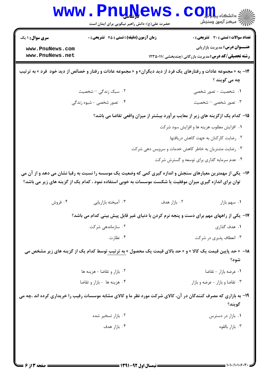| <b>WWW</b>                                                                                                                                                                                                                | <b>Tarth: John Property Property</b><br>حضرت علی(ع): دانش راهبر نیکویی برای ایمان است   |              | د دانشڪاه پ <b>يا جا <del>تو</del></b><br>رِ آھرڪز آزمون وسنڊش                        |  |  |
|---------------------------------------------------------------------------------------------------------------------------------------------------------------------------------------------------------------------------|-----------------------------------------------------------------------------------------|--------------|---------------------------------------------------------------------------------------|--|--|
| <b>سری سوال : ۱ یک</b><br>www.PnuNews.com<br>www.PnuNews.net                                                                                                                                                              | زمان آزمون (دقیقه) : تستی : 45 آتشریحی : 0                                              |              | <b>تعداد سوالات : تستی : 30 ٪ تشریحی : 0</b><br><b>عنـــوان درس:</b> مدیریت بازاریابی |  |  |
| <b>رشته تحصیلی/کد درس:</b> مدیریت بازرگانی (چندبخشی )۲۳۵۰۱۱ (<br>۱۴- به « مجموعه عادات و رفتارهای یک فرد از دید دیگران» و « مجموعه عادات و رفتار و خصائص از دید خود ًفرد » به ترتیب                                       |                                                                                         |              |                                                                                       |  |  |
|                                                                                                                                                                                                                           |                                                                                         |              | چه مي گويند ؟                                                                         |  |  |
|                                                                                                                                                                                                                           | ۰۲ سبک زندگ <i>ی –</i> شخصیت                                                            |              | ۰۱ شخصیت - تصور شخصی                                                                  |  |  |
|                                                                                                                                                                                                                           | ۴.۔ تصور شخصی - شیوه زندگی                                                              |              | ۰۳ تصور شخصی – شخصیت                                                                  |  |  |
| ۱۵– کدام یک ازگزینه های زیر از معایب برآورد بیشتر از میزان واقعی تقاضا می باشد؟                                                                                                                                           |                                                                                         |              |                                                                                       |  |  |
|                                                                                                                                                                                                                           |                                                                                         |              | ۰۱ افزایش مطلوب هزینه ها و افزایش سود شرکت                                            |  |  |
|                                                                                                                                                                                                                           |                                                                                         |              | ۰۲ رضایت کارکنان به جهت کاهش دریافتها                                                 |  |  |
|                                                                                                                                                                                                                           |                                                                                         |              | ۰۳ رضایت مشتریان به خاطر کاهش خدمات و سرویس دهی شرکت                                  |  |  |
|                                                                                                                                                                                                                           |                                                                                         |              | ۰۴ عدم سرمایه گذاری برای توسعه و گسترش شرکت                                           |  |  |
| ۱۶- یکی از مهمترین معیارهای سنجش و اندازه گیری کمی که وضعیت یک موسسه را نسبت به رقبا نشان می دهد و از آن می<br>توان برای اندازه گیری میزان موفقیت یا شکست موسسات به خوبی استفاده نمود ، کدام یک از گزینه های زیر می باشد؟ |                                                                                         |              |                                                                                       |  |  |
| ۰۴ فروش                                                                                                                                                                                                                   | ۰۳ آمیخته بازاریابی                                                                     | ۰۲ بازار هدف | ٠١ سهم بازار                                                                          |  |  |
|                                                                                                                                                                                                                           | ۱۷- یکی از راههای مهم برای دست و پنجه نرم کردن با دنیای غیر قابل پیش بینی کدام می باشد؟ |              |                                                                                       |  |  |
|                                                                                                                                                                                                                           | ۰۲ سازماندهی شرکت                                                                       |              | ۰۱ هدف گذاری                                                                          |  |  |
|                                                                                                                                                                                                                           | ۰۴ نظارت                                                                                |              | ۰۳ انعطاف پذیری در شرکت                                                               |  |  |
| ۱۸−  « حد پایین قیمت یک کالا » و « حد بالای قیمت یک محصول » به ترتیب توسط کدام یک از گزینه های زیر مشخص می<br>شود؟                                                                                                        |                                                                                         |              |                                                                                       |  |  |
|                                                                                                                                                                                                                           | ۰۲ بازار و تقاضا - هزينه ها                                                             |              | ۰۱ عرضه بازار - تقاضا                                                                 |  |  |
|                                                                                                                                                                                                                           | ۰۴ هزينه ها -بازار و تقاضا                                                              |              | ۰۳ تقاضا و بازار - عرضه و بازار                                                       |  |  |
| ۱۹- به بازاری که مصرف کنندگان در آن، کالای شرکت مورد نظر ما و کالای مشابه موسسات رقیب را خریداری کرده اند ،چه می<br>گويند؟                                                                                                |                                                                                         |              |                                                                                       |  |  |
|                                                                                                                                                                                                                           | ۰۲ بازار تسخیر شده                                                                      |              | ۰۱ بازار در دسترس                                                                     |  |  |
|                                                                                                                                                                                                                           | ۰۴ بازار هدف                                                                            |              | ۰۳ بازار بالقوه                                                                       |  |  |
|                                                                                                                                                                                                                           |                                                                                         |              |                                                                                       |  |  |

4 Y H

51

 $1.1.11.1.9$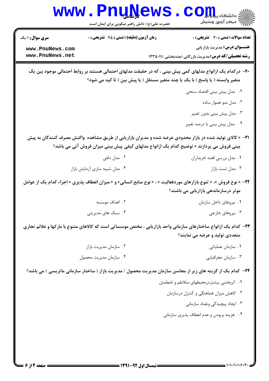|                                                                                                                                                                                               | www.PnuNews<br>حضرت علی(ع): دانش راهبر نیکویی برای ایمان است | الله دانشگاه پیام برای COM<br>الله مرکز آزمون وسنجش                                                                                                                                                      |  |  |
|-----------------------------------------------------------------------------------------------------------------------------------------------------------------------------------------------|--------------------------------------------------------------|----------------------------------------------------------------------------------------------------------------------------------------------------------------------------------------------------------|--|--|
| <b>سری سوال : ۱ یک</b>                                                                                                                                                                        | <b>زمان آزمون (دقیقه) : تستی : 45 تشریحی : 0</b>             | <b>تعداد سوالات : تستی : 30 ٪ تشریحی : 0</b>                                                                                                                                                             |  |  |
| www.PnuNews.com<br>www.PnuNews.net                                                                                                                                                            |                                                              | <b>عنـــوان درس:</b> مدیریت بازاریابی<br><b>رشته تحصیلی/کد درس:</b> مدیریت بازرگانی (چندبخشی )۱۲۳۵۰۱۱ (                                                                                                  |  |  |
| +۲- درکدام یک ازانواع مدلهای کمی پیش بینی ، که در حقیقت مدلهای احتمالی هستند بر روابط احتمالی موجود بین یک<br>متغیر وابسته ( یا پاسخ ) با یک یا چند متغیر مستقل ( یا پیش بین ) تا کید می شود؟ |                                                              |                                                                                                                                                                                                          |  |  |
|                                                                                                                                                                                               |                                                              | ۰۱ مدل پیش بینی اقتصاد سنجی                                                                                                                                                                              |  |  |
|                                                                                                                                                                                               |                                                              | ۰۲ مدل نمو هموار ساده                                                                                                                                                                                    |  |  |
|                                                                                                                                                                                               |                                                              | ۰۳ مدل پیش بینی بدون تغییر                                                                                                                                                                               |  |  |
|                                                                                                                                                                                               |                                                              | ۰۴ مدل پیش بینی با درصد تغییر                                                                                                                                                                            |  |  |
|                                                                                                                                                                                               |                                                              | ۳۱− « کالای تولید شده در بازار محدودی عرضه شده و مدیران بازاریابی از طریق مشاهده  واکنش مصرف کنندگان به پیش<br>بینی فروش می پردازند » توضیح کدام یک ازانواع مدلهای کیفی پیش بینی میزان فروش آتی می باشد؟ |  |  |
|                                                                                                                                                                                               | ۰۲ مدل دلفی                                                  | ۰۱ مدل بررسی قصد خریداران                                                                                                                                                                                |  |  |
|                                                                                                                                                                                               | ۰۴ مدل شبیه سازی آزمایش بازار                                | ۰۳ مدل تست بازار                                                                                                                                                                                         |  |  |
|                                                                                                                                                                                               |                                                              | 7۲- « نوع فروش »، « تنوع بازارهای موردفعالیت » ، « نوع منابع انسانی» و « میزان انعطاف پذیری » اجزاء کدام یک از عوامل<br>موثر درسازماندهی بازاریابی می باشند؟                                             |  |  |
|                                                                                                                                                                                               | ۲ . اهداف موسسه                                              | ۰۱ نیروهای داخل سازمان                                                                                                                                                                                   |  |  |
|                                                                                                                                                                                               | ۰۴ سبک های مدیریتی                                           | ۰۳ نیروهای خارجی                                                                                                                                                                                         |  |  |
|                                                                                                                                                                                               |                                                              | ۲۳- کدام یک ازانواع ساختارهای سازمانی واحد بازاریابی ، مختص موسساتی است که کالاهای متنوع با مارکها و علائم تجاری<br>متعددی تولید و عرضه می نمایند؟                                                       |  |  |
|                                                                                                                                                                                               | ۰۲ سازمان مديريت بازار                                       | ۰۱ سازمان عملیاتی                                                                                                                                                                                        |  |  |
|                                                                                                                                                                                               | ۰۴ سازمان مديريت محصول                                       | ۰۳ سازمان جغرافیایی                                                                                                                                                                                      |  |  |
|                                                                                                                                                                                               |                                                              | <b>۲۴</b> - کدام یک از گزینه های زیر از محاسن سازمان مدیریت محصول / مدیریت بازار ( ساختار سازمانی ماتریسی ) می باشد؟                                                                                     |  |  |
|                                                                                                                                                                                               |                                                              | ٠١ اثربخشي بيشتردرمحيطهاى متلاطم و نامطمئن                                                                                                                                                               |  |  |
|                                                                                                                                                                                               |                                                              | ۰۲ کاهش میزان هماهنگی و کنترل درسازمان                                                                                                                                                                   |  |  |
|                                                                                                                                                                                               |                                                              | ۰۳ ایجاد پیچیدگی وتضاد سازمانی                                                                                                                                                                           |  |  |
|                                                                                                                                                                                               |                                                              | ۰۴ هزینه بربودن و عدم انعطاف پذیری سازمانی                                                                                                                                                               |  |  |
|                                                                                                                                                                                               |                                                              |                                                                                                                                                                                                          |  |  |
|                                                                                                                                                                                               |                                                              |                                                                                                                                                                                                          |  |  |
|                                                                                                                                                                                               |                                                              |                                                                                                                                                                                                          |  |  |

 $=$  1+1+/1+1+۶+۲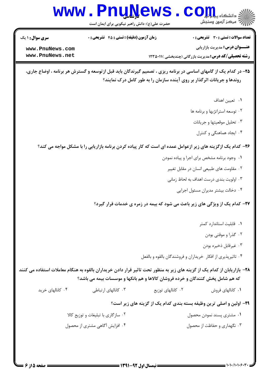

- ٠١. وجود برنامه مشخص براى اجرا و پياده نمودن
	- ۰۲ مقاومت های طبیعی انسان در مقابل تغییر
	- ۰۳ اولویت بندی درست اهداف به لحاظ زمانی
		- ۰۴ دخالت بیشتر مدیران مسئول اجرایی

۲۷- کدام یک از ویژگی های زیر باعث می شود که بیمه در زمره ی خدمات قرار گیرد؟

- ۰۱ قابلیت استاندارد کمتر
	- ۰۲ گذرا و موقتی بودن
	- ۰۳ غیرقابل ذخیره بودن
- ۰۴ تاثیرپذیری از افکار خریداران و فروشندگان بالقوه و بالفعل

۲۸– بازاریابان از کدام یک از گزینه های زیر به منظور تحت تاثیر قرار دادن خریداران بالقوه به هنگام معاملات استفاده می کنند که هم شامل پخش کنندگان و خرده فروشان کالاها و هم بانکها و موسسات بیمه می باشد؟

۰۴ کانالهای خرید ۰۳ کانالهای ا<sub>د</sub>تباطی ۰۲ کانالهای توزیع ۰۱ كانالهای فروش

## ۲۹- اولین و اصلی ترین وظیفه بسته بندی کدام یک از گزینه های زیر است؟

۰۲ سازگاری با تبلیغات و توزیع کالا ٠١ مشترى پسند نمودن محصول ۰۴ افزایش آگاهی مشتری از محصول ۰۳ نگهداری و حفاظت از محصول